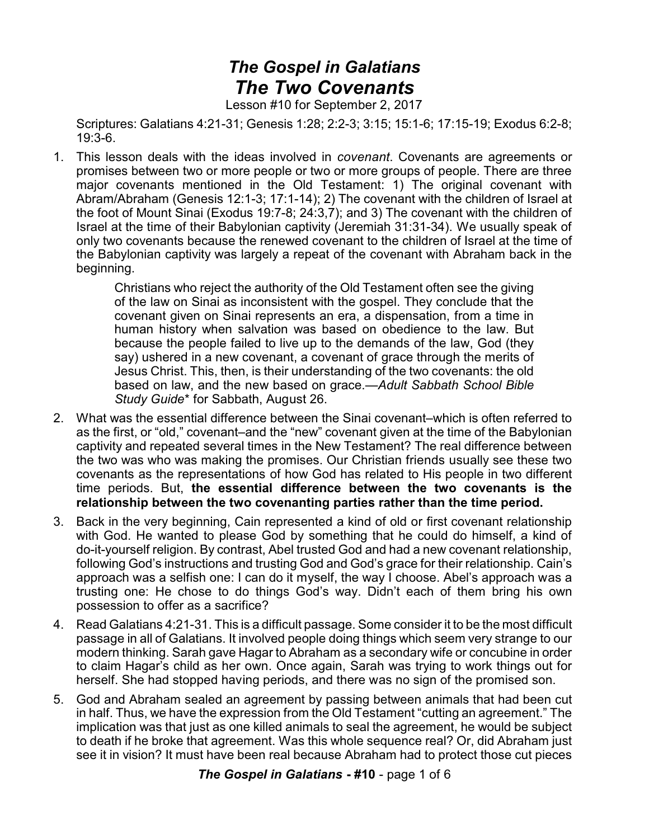## *The Gospel in Galatians The Two Covenants*

Lesson #10 for September 2, 2017

Scriptures: Galatians 4:21-31; Genesis 1:28; 2:2-3; 3:15; 15:1-6; 17:15-19; Exodus 6:2-8; 19:3-6.

1. This lesson deals with the ideas involved in *covenant*. Covenants are agreements or promises between two or more people or two or more groups of people. There are three major covenants mentioned in the Old Testament: 1) The original covenant with Abram/Abraham (Genesis 12:1-3; 17:1-14); 2) The covenant with the children of Israel at the foot of Mount Sinai (Exodus 19:7-8; 24:3,7); and 3) The covenant with the children of Israel at the time of their Babylonian captivity (Jeremiah 31:31-34). We usually speak of only two covenants because the renewed covenant to the children of Israel at the time of the Babylonian captivity was largely a repeat of the covenant with Abraham back in the beginning.

> Christians who reject the authority of the Old Testament often see the giving of the law on Sinai as inconsistent with the gospel. They conclude that the covenant given on Sinai represents an era, a dispensation, from a time in human history when salvation was based on obedience to the law. But because the people failed to live up to the demands of the law, God (they say) ushered in a new covenant, a covenant of grace through the merits of Jesus Christ. This, then, is their understanding of the two covenants: the old based on law, and the new based on grace.—*Adult Sabbath School Bible Study Guide*\* for Sabbath, August 26.

- 2. What was the essential difference between the Sinai covenant–which is often referred to as the first, or "old," covenant–and the "new" covenant given at the time of the Babylonian captivity and repeated several times in the New Testament? The real difference between the two was who was making the promises. Our Christian friends usually see these two covenants as the representations of how God has related to His people in two different time periods. But, **the essential difference between the two covenants is the relationship between the two covenanting parties rather than the time period.**
- 3. Back in the very beginning, Cain represented a kind of old or first covenant relationship with God. He wanted to please God by something that he could do himself, a kind of do-it-yourself religion. By contrast, Abel trusted God and had a new covenant relationship, following God's instructions and trusting God and God's grace for their relationship. Cain's approach was a selfish one: I can do it myself, the way I choose. Abel's approach was a trusting one: He chose to do things God's way. Didn't each of them bring his own possession to offer as a sacrifice?
- 4. Read Galatians 4:21-31. This is a difficult passage. Some consider it to be the most difficult passage in all of Galatians. It involved people doing things which seem very strange to our modern thinking. Sarah gave Hagar to Abraham as a secondary wife or concubine in order to claim Hagar's child as her own. Once again, Sarah was trying to work things out for herself. She had stopped having periods, and there was no sign of the promised son.
- 5. God and Abraham sealed an agreement by passing between animals that had been cut in half. Thus, we have the expression from the Old Testament "cutting an agreement." The implication was that just as one killed animals to seal the agreement, he would be subject to death if he broke that agreement. Was this whole sequence real? Or, did Abraham just see it in vision? It must have been real because Abraham had to protect those cut pieces

*The Gospel in Galatians* **- #10** - page 1 of 6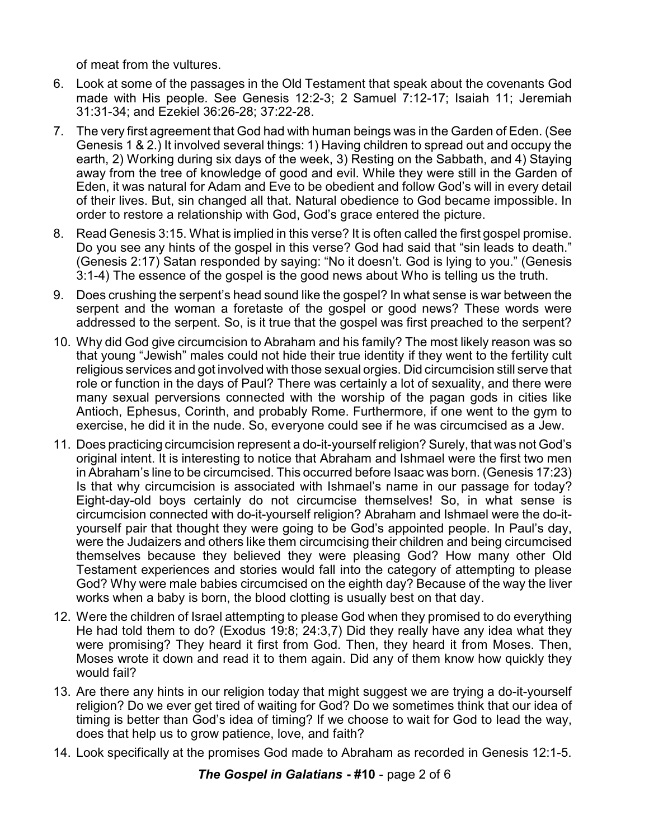of meat from the vultures.

- 6. Look at some of the passages in the Old Testament that speak about the covenants God made with His people. See Genesis 12:2-3; 2 Samuel 7:12-17; Isaiah 11; Jeremiah 31:31-34; and Ezekiel 36:26-28; 37:22-28.
- 7. The very first agreement that God had with human beings was in the Garden of Eden. (See Genesis 1 & 2.) It involved several things: 1) Having children to spread out and occupy the earth, 2) Working during six days of the week, 3) Resting on the Sabbath, and 4) Staying away from the tree of knowledge of good and evil. While they were still in the Garden of Eden, it was natural for Adam and Eve to be obedient and follow God's will in every detail of their lives. But, sin changed all that. Natural obedience to God became impossible. In order to restore a relationship with God, God's grace entered the picture.
- 8. Read Genesis 3:15. What is implied in this verse? It is often called the first gospel promise. Do you see any hints of the gospel in this verse? God had said that "sin leads to death." (Genesis 2:17) Satan responded by saying: "No it doesn't. God is lying to you." (Genesis 3:1-4) The essence of the gospel is the good news about Who is telling us the truth.
- 9. Does crushing the serpent's head sound like the gospel? In what sense is war between the serpent and the woman a foretaste of the gospel or good news? These words were addressed to the serpent. So, is it true that the gospel was first preached to the serpent?
- 10. Why did God give circumcision to Abraham and his family? The most likely reason was so that young "Jewish" males could not hide their true identity if they went to the fertility cult religious services and got involved with those sexual orgies. Did circumcision still serve that role or function in the days of Paul? There was certainly a lot of sexuality, and there were many sexual perversions connected with the worship of the pagan gods in cities like Antioch, Ephesus, Corinth, and probably Rome. Furthermore, if one went to the gym to exercise, he did it in the nude. So, everyone could see if he was circumcised as a Jew.
- 11. Does practicing circumcision represent a do-it-yourself religion? Surely, that was not God's original intent. It is interesting to notice that Abraham and Ishmael were the first two men in Abraham's line to be circumcised. This occurred before Isaac was born. (Genesis 17:23) Is that why circumcision is associated with Ishmael's name in our passage for today? Eight-day-old boys certainly do not circumcise themselves! So, in what sense is circumcision connected with do-it-yourself religion? Abraham and Ishmael were the do-ityourself pair that thought they were going to be God's appointed people. In Paul's day, were the Judaizers and others like them circumcising their children and being circumcised themselves because they believed they were pleasing God? How many other Old Testament experiences and stories would fall into the category of attempting to please God? Why were male babies circumcised on the eighth day? Because of the way the liver works when a baby is born, the blood clotting is usually best on that day.
- 12. Were the children of Israel attempting to please God when they promised to do everything He had told them to do? (Exodus 19:8; 24:3,7) Did they really have any idea what they were promising? They heard it first from God. Then, they heard it from Moses. Then, Moses wrote it down and read it to them again. Did any of them know how quickly they would fail?
- 13. Are there any hints in our religion today that might suggest we are trying a do-it-yourself religion? Do we ever get tired of waiting for God? Do we sometimes think that our idea of timing is better than God's idea of timing? If we choose to wait for God to lead the way, does that help us to grow patience, love, and faith?
- 14. Look specifically at the promises God made to Abraham as recorded in Genesis 12:1-5.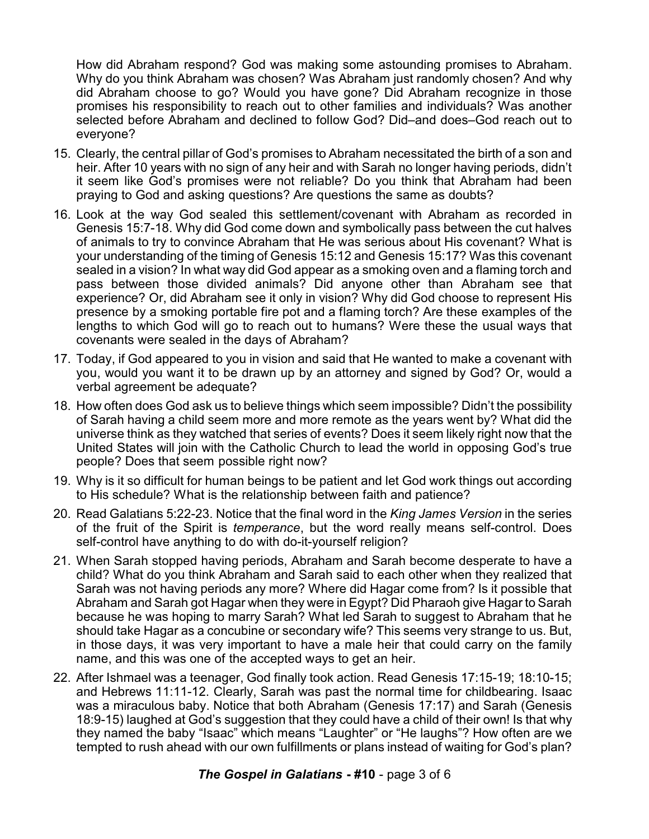How did Abraham respond? God was making some astounding promises to Abraham. Why do you think Abraham was chosen? Was Abraham just randomly chosen? And why did Abraham choose to go? Would you have gone? Did Abraham recognize in those promises his responsibility to reach out to other families and individuals? Was another selected before Abraham and declined to follow God? Did–and does–God reach out to everyone?

- 15. Clearly, the central pillar of God's promises to Abraham necessitated the birth of a son and heir. After 10 years with no sign of any heir and with Sarah no longer having periods, didn't it seem like God's promises were not reliable? Do you think that Abraham had been praying to God and asking questions? Are questions the same as doubts?
- 16. Look at the way God sealed this settlement/covenant with Abraham as recorded in Genesis 15:7-18. Why did God come down and symbolically pass between the cut halves of animals to try to convince Abraham that He was serious about His covenant? What is your understanding of the timing of Genesis 15:12 and Genesis 15:17? Was this covenant sealed in a vision? In what way did God appear as a smoking oven and a flaming torch and pass between those divided animals? Did anyone other than Abraham see that experience? Or, did Abraham see it only in vision? Why did God choose to represent His presence by a smoking portable fire pot and a flaming torch? Are these examples of the lengths to which God will go to reach out to humans? Were these the usual ways that covenants were sealed in the days of Abraham?
- 17. Today, if God appeared to you in vision and said that He wanted to make a covenant with you, would you want it to be drawn up by an attorney and signed by God? Or, would a verbal agreement be adequate?
- 18. How often does God ask us to believe things which seem impossible? Didn't the possibility of Sarah having a child seem more and more remote as the years went by? What did the universe think as they watched that series of events? Does it seem likely right now that the United States will join with the Catholic Church to lead the world in opposing God's true people? Does that seem possible right now?
- 19. Why is it so difficult for human beings to be patient and let God work things out according to His schedule? What is the relationship between faith and patience?
- 20. Read Galatians 5:22-23. Notice that the final word in the *King James Version* in the series of the fruit of the Spirit is *temperance*, but the word really means self-control. Does self-control have anything to do with do-it-yourself religion?
- 21. When Sarah stopped having periods, Abraham and Sarah become desperate to have a child? What do you think Abraham and Sarah said to each other when they realized that Sarah was not having periods any more? Where did Hagar come from? Is it possible that Abraham and Sarah got Hagar when they were in Egypt? Did Pharaoh give Hagar to Sarah because he was hoping to marry Sarah? What led Sarah to suggest to Abraham that he should take Hagar as a concubine or secondary wife? This seems very strange to us. But, in those days, it was very important to have a male heir that could carry on the family name, and this was one of the accepted ways to get an heir.
- 22. After Ishmael was a teenager, God finally took action. Read Genesis 17:15-19; 18:10-15; and Hebrews 11:11-12. Clearly, Sarah was past the normal time for childbearing. Isaac was a miraculous baby. Notice that both Abraham (Genesis 17:17) and Sarah (Genesis 18:9-15) laughed at God's suggestion that they could have a child of their own! Is that why they named the baby "Isaac" which means "Laughter" or "He laughs"? How often are we tempted to rush ahead with our own fulfillments or plans instead of waiting for God's plan?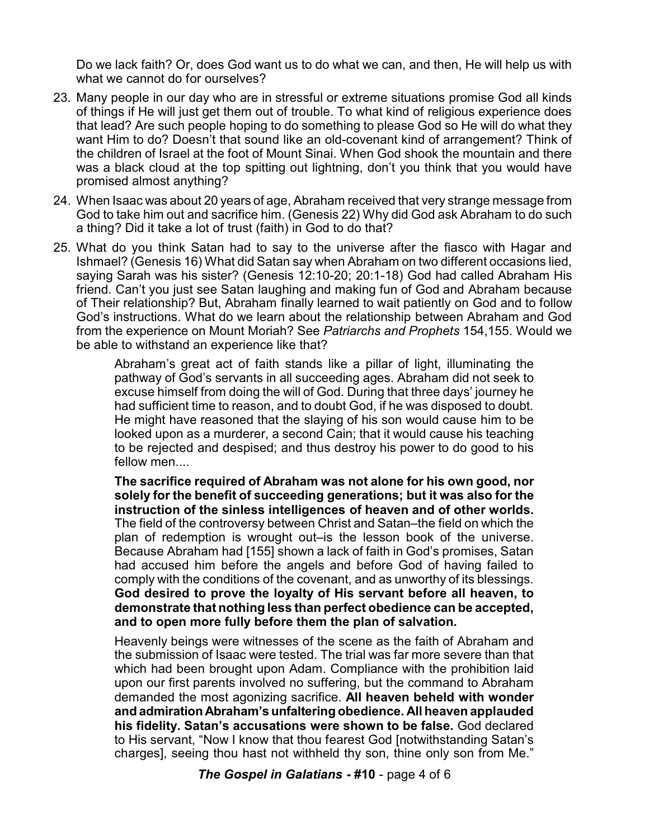Do we lack faith? Or, does God want us to do what we can, and then, He will help us with what we cannot do for ourselves?

- 23. Many people in our day who are in stressful or extreme situations promise God all kinds of things if He will just get them out of trouble. To what kind of religious experience does that lead? Are such people hoping to do something to please God so He will do what they want Him to do? Doesn't that sound like an old-covenant kind of arrangement? Think of the children of Israel at the foot of Mount Sinai. When God shook the mountain and there was a black cloud at the top spitting out lightning, don't you think that you would have promised almost anything?
- 24. When Isaac was about 20 years of age, Abraham received that very strange message from God to take him out and sacrifice him. (Genesis 22) Why did God ask Abraham to do such a thing? Did it take a lot of trust (faith) in God to do that?
- 25. What do you think Satan had to say to the universe after the fiasco with Hagar and Ishmael? (Genesis 16) What did Satan say when Abraham on two different occasions lied, saying Sarah was his sister? (Genesis 12:10-20; 20:1-18) God had called Abraham His friend. Can't you just see Satan laughing and making fun of God and Abraham because of Their relationship? But, Abraham finally learned to wait patiently on God and to follow God's instructions. What do we learn about the relationship between Abraham and God from the experience on Mount Moriah? See *Patriarchs and Prophets* 154,155. Would we be able to withstand an experience like that?

Abraham's great act of faith stands like a pillar of light, illuminating the pathway of God's servants in all succeeding ages. Abraham did not seek to excuse himself from doing the will of God. During that three days' journey he had sufficient time to reason, and to doubt God, if he was disposed to doubt. He might have reasoned that the slaying of his son would cause him to be looked upon as a murderer, a second Cain; that it would cause his teaching to be rejected and despised; and thus destroy his power to do good to his fellow men....

**The sacrifice required of Abraham was not alone for his own good, nor solely for the benefit of succeeding generations; but it was also for the instruction of the sinless intelligences of heaven and of other worlds.** The field of the controversy between Christ and Satan–the field on which the plan of redemption is wrought out–is the lesson book of the universe. Because Abraham had [155] shown a lack of faith in God's promises, Satan had accused him before the angels and before God of having failed to comply with the conditions of the covenant, and as unworthy of its blessings. **God desired to prove the loyalty of His servant before all heaven, to demonstrate that nothing less than perfect obedience can be accepted, and to open more fully before them the plan of salvation.**

Heavenly beings were witnesses of the scene as the faith of Abraham and the submission of Isaac were tested. The trial was far more severe than that which had been brought upon Adam. Compliance with the prohibition laid upon our first parents involved no suffering, but the command to Abraham demanded the most agonizing sacrifice. **All heaven beheld with wonder and admiration Abraham's unfaltering obedience. All heaven applauded his fidelity. Satan's accusations were shown to be false.** God declared to His servant, "Now I know that thou fearest God [notwithstanding Satan's charges], seeing thou hast not withheld thy son, thine only son from Me."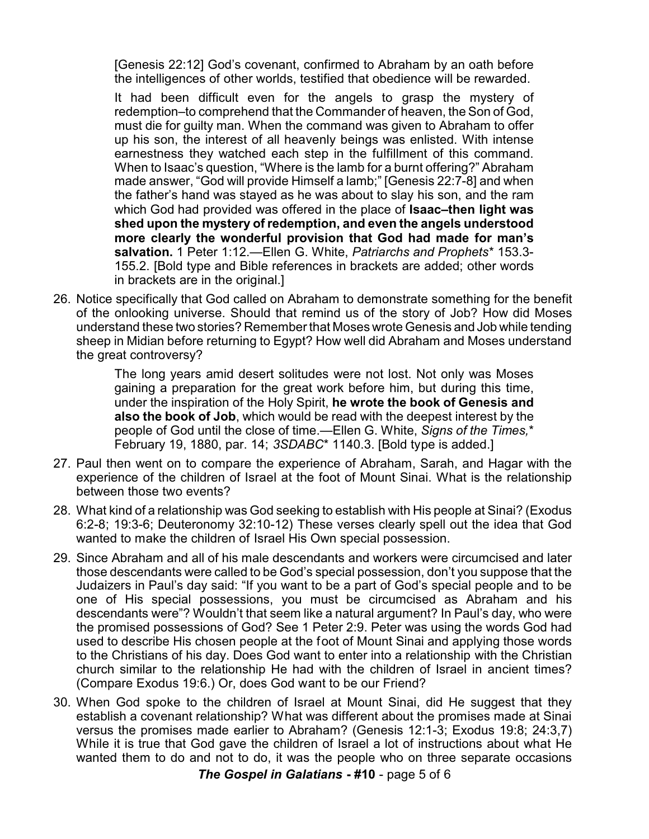[Genesis 22:12] God's covenant, confirmed to Abraham by an oath before the intelligences of other worlds, testified that obedience will be rewarded.

It had been difficult even for the angels to grasp the mystery of redemption–to comprehend that the Commander of heaven, the Son of God, must die for guilty man. When the command was given to Abraham to offer up his son, the interest of all heavenly beings was enlisted. With intense earnestness they watched each step in the fulfillment of this command. When to Isaac's question, "Where is the lamb for a burnt offering?" Abraham made answer, "God will provide Himself a lamb;" [Genesis 22:7-8] and when the father's hand was stayed as he was about to slay his son, and the ram which God had provided was offered in the place of **Isaac–then light was shed upon the mystery of redemption, and even the angels understood more clearly the wonderful provision that God had made for man's salvation.** 1 Peter 1:12.—Ellen G. White, *Patriarchs and Prophets*\* 153.3- 155.2. [Bold type and Bible references in brackets are added; other words in brackets are in the original.]

26. Notice specifically that God called on Abraham to demonstrate something for the benefit of the onlooking universe. Should that remind us of the story of Job? How did Moses understand these two stories? Remember that Moses wrote Genesis and Job while tending sheep in Midian before returning to Egypt? How well did Abraham and Moses understand the great controversy?

> The long years amid desert solitudes were not lost. Not only was Moses gaining a preparation for the great work before him, but during this time, under the inspiration of the Holy Spirit, **he wrote the book of Genesis and also the book of Job**, which would be read with the deepest interest by the people of God until the close of time.—Ellen G. White, *Signs of the Times,*\* February 19, 1880, par. 14; *3SDABC*\* 1140.3. [Bold type is added.]

- 27. Paul then went on to compare the experience of Abraham, Sarah, and Hagar with the experience of the children of Israel at the foot of Mount Sinai. What is the relationship between those two events?
- 28. What kind of a relationship was God seeking to establish with His people at Sinai? (Exodus 6:2-8; 19:3-6; Deuteronomy 32:10-12) These verses clearly spell out the idea that God wanted to make the children of Israel His Own special possession.
- 29. Since Abraham and all of his male descendants and workers were circumcised and later those descendants were called to be God's special possession, don't you suppose that the Judaizers in Paul's day said: "If you want to be a part of God's special people and to be one of His special possessions, you must be circumcised as Abraham and his descendants were"? Wouldn't that seem like a natural argument? In Paul's day, who were the promised possessions of God? See 1 Peter 2:9. Peter was using the words God had used to describe His chosen people at the foot of Mount Sinai and applying those words to the Christians of his day. Does God want to enter into a relationship with the Christian church similar to the relationship He had with the children of Israel in ancient times? (Compare Exodus 19:6.) Or, does God want to be our Friend?
- 30. When God spoke to the children of Israel at Mount Sinai, did He suggest that they establish a covenant relationship? What was different about the promises made at Sinai versus the promises made earlier to Abraham? (Genesis 12:1-3; Exodus 19:8; 24:3,7) While it is true that God gave the children of Israel a lot of instructions about what He wanted them to do and not to do, it was the people who on three separate occasions

*The Gospel in Galatians* **- #10** - page 5 of 6